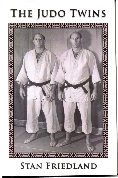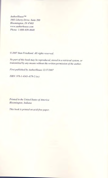*AuthorHouse* TM *1663Liberty Drive. Suite 200 Bloomington. IN 47403 www.authorhouse.com Phone: 1-800-839-8640*

~ *2007 Stan Friedland. All rights reserved.*

*No part of this book may be reproduced. stored in a retrieval system. or transmitted by any means without the written permission of the author.*

*First published by AuthorHouse 12/17/2007*

*ISBN:* 978-1-4343-4179-2 *(sc)*

*Printed in the United States of America Bloomington, Indiana*

*This book is printed on acid-free paper.*